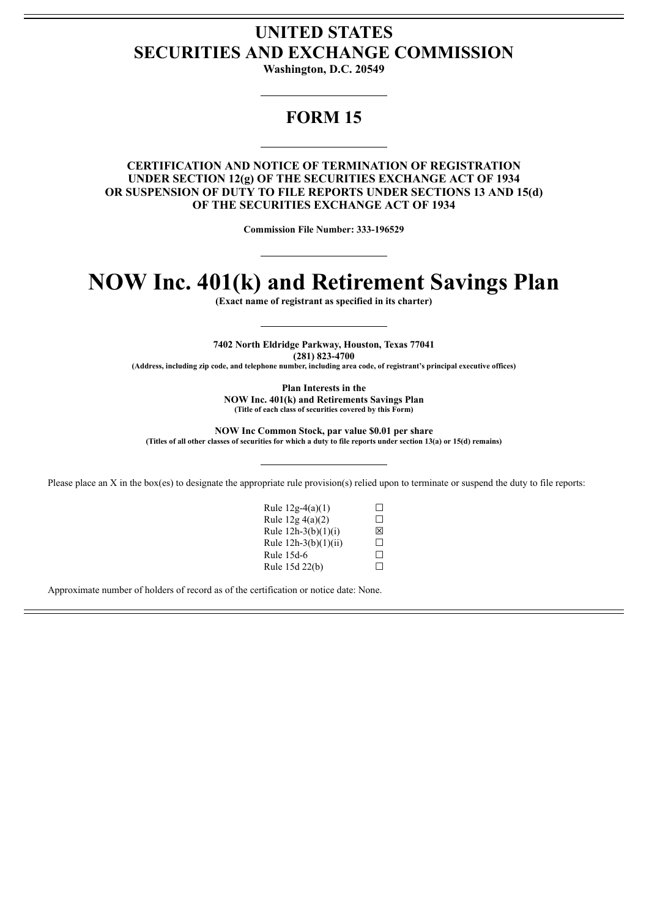## **UNITED STATES SECURITIES AND EXCHANGE COMMISSION**

**Washington, D.C. 20549**

## **FORM 15**

### **CERTIFICATION AND NOTICE OF TERMINATION OF REGISTRATION UNDER SECTION 12(g) OF THE SECURITIES EXCHANGE ACT OF 1934 OR SUSPENSION OF DUTY TO FILE REPORTS UNDER SECTIONS 13 AND 15(d) OF THE SECURITIES EXCHANGE ACT OF 1934**

**Commission File Number: 333-196529**

# **NOW Inc. 401(k) and Retirement Savings Plan**

**(Exact name of registrant as specified in its charter)**

**7402 North Eldridge Parkway, Houston, Texas 77041 (281) 823-4700**

**(Address, including zip code, and telephone number, including area code, of registrant's principal executive offices)**

**Plan Interests in the**

**NOW Inc. 401(k) and Retirements Savings Plan (Title of each class of securities covered by this Form)**

**NOW Inc Common Stock, par value \$0.01 per share** (Titles of all other classes of securities for which a duty to file reports under section 13(a) or 15(d) remains)

Please place an X in the box(es) to designate the appropriate rule provision(s) relied upon to terminate or suspend the duty to file reports:

Rule  $12g-4(a)(1)$   $\Box$ Rule  $12g\ 4(a)(2)$   $\Box$ Rule 12h-3(b)(1)(i)  $\boxtimes$ <br>Rule 12h-3(b)(1)(ii)  $\Box$  $Rule 12h-3(b)(1)(ii)$ Rule 15d-6  $\Box$ <br>Rule 15d 22(b)  $\Box$ Rule 15d 22(b)

Approximate number of holders of record as of the certification or notice date: None.